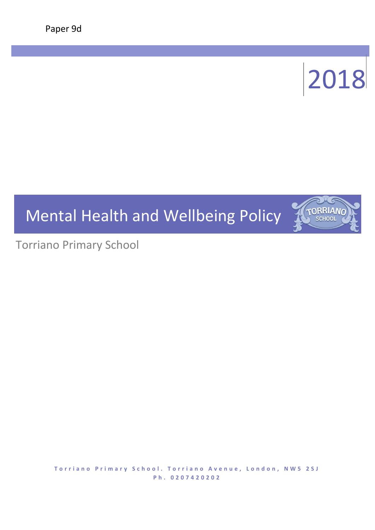# 2018

TORRIANO **SCHOOL** 

# Mental Health and Wellbeing Policy

Torriano Primary School

**Torriano Primary School. Torriano Avenue, London, NW5 2SJ P h . 0 2 0 7 4 2 0 2 0 2**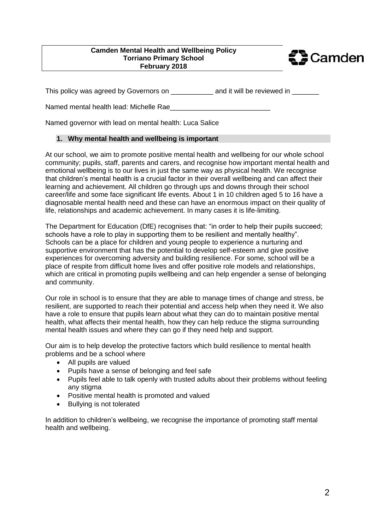#### **Camden Mental Health and Wellbeing Policy Torriano Primary School February 2018**



This policy was agreed by Governors on \_\_\_\_\_\_\_\_\_\_\_\_ and it will be reviewed in \_\_\_\_\_\_\_

Named mental health lead: Michelle Rae

Named governor with lead on mental health: Luca Salice

# **1. Why mental health and wellbeing is important**

At our school, we aim to promote positive mental health and wellbeing for our whole school community; pupils, staff, parents and carers, and recognise how important mental health and emotional wellbeing is to our lives in just the same way as physical health. We recognise that children's mental health is a crucial factor in their overall wellbeing and can affect their learning and achievement. All children go through ups and downs through their school career/life and some face significant life events. About 1 in 10 children aged 5 to 16 have a diagnosable mental health need and these can have an enormous impact on their quality of life, relationships and academic achievement. In many cases it is life-limiting.

The Department for Education (DfE) recognises that: "in order to help their pupils succeed; schools have a role to play in supporting them to be resilient and mentally healthy". Schools can be a place for children and young people to experience a nurturing and supportive environment that has the potential to develop self-esteem and give positive experiences for overcoming adversity and building resilience. For some, school will be a place of respite from difficult home lives and offer positive role models and relationships, which are critical in promoting pupils wellbeing and can help engender a sense of belonging and community.

Our role in school is to ensure that they are able to manage times of change and stress, be resilient, are supported to reach their potential and access help when they need it. We also have a role to ensure that pupils learn about what they can do to maintain positive mental health, what affects their mental health, how they can help reduce the stigma surrounding mental health issues and where they can go if they need help and support.

Our aim is to help develop the protective factors which build resilience to mental health problems and be a school where

- All pupils are valued
- Pupils have a sense of belonging and feel safe
- Pupils feel able to talk openly with trusted adults about their problems without feeling any stigma
- Positive mental health is promoted and valued
- Bullying is not tolerated

In addition to children's wellbeing, we recognise the importance of promoting staff mental health and wellbeing.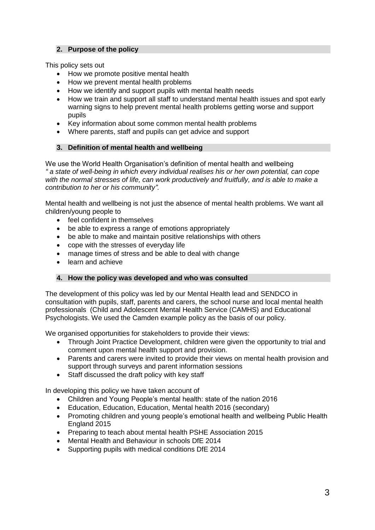# **2. Purpose of the policy**

This policy sets out

- How we promote positive mental health
- How we prevent mental health problems
- How we identify and support pupils with mental health needs
- How we train and support all staff to understand mental health issues and spot early warning signs to help prevent mental health problems getting worse and support pupils
- Key information about some common mental health problems
- Where parents, staff and pupils can get advice and support

# **3. Definition of mental health and wellbeing**

We use the World Health Organisation's definition of mental health and wellbeing *" a state of well-being in which every individual realises his or her own potential, can cope with the normal stresses of life, can work productively and fruitfully, and is able to make a contribution to her or his community".*

Mental health and wellbeing is not just the absence of mental health problems. We want all children/young people to

- feel confident in themselves
- be able to express a range of emotions appropriately
- be able to make and maintain positive relationships with others
- cope with the stresses of everyday life
- manage times of stress and be able to deal with change
- learn and achieve

#### **4. How the policy was developed and who was consulted**

The development of this policy was led by our Mental Health lead and SENDCO in consultation with pupils, staff, parents and carers, the school nurse and local mental health professionals (Child and Adolescent Mental Health Service (CAMHS) and Educational Psychologists. We used the Camden example policy as the basis of our policy.

We organised opportunities for stakeholders to provide their views:

- Through Joint Practice Development, children were given the opportunity to trial and comment upon mental health support and provision.
- Parents and carers were invited to provide their views on mental health provision and support through surveys and parent information sessions
- Staff discussed the draft policy with key staff

In developing this policy we have taken account of

- Children and Young People's mental health: state of the nation 2016
- Education, Education, Education, Mental health 2016 (secondary)
- Promoting children and young people's emotional health and wellbeing Public Health England 2015
- Preparing to teach about mental health PSHE Association 2015
- Mental Health and Behaviour in schools DfE 2014
- Supporting pupils with medical conditions DfE 2014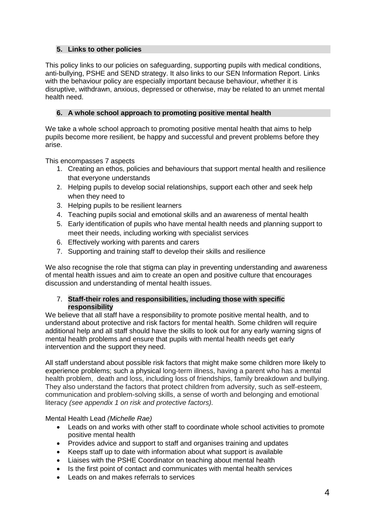## **5. Links to other policies**

This policy links to our policies on safeguarding, supporting pupils with medical conditions, anti-bullying, PSHE and SEND strategy. It also links to our SEN Information Report. Links with the behaviour policy are especially important because behaviour, whether it is disruptive, withdrawn, anxious, depressed or otherwise, may be related to an unmet mental health need.

# **6. A whole school approach to promoting positive mental health**

We take a whole school approach to promoting positive mental health that aims to help pupils become more resilient, be happy and successful and prevent problems before they arise.

This encompasses 7 aspects

- 1. Creating an ethos, policies and behaviours that support mental health and resilience that everyone understands
- 2. Helping pupils to develop social relationships, support each other and seek help when they need to
- 3. Helping pupils to be resilient learners
- 4. Teaching pupils social and emotional skills and an awareness of mental health
- 5. Early identification of pupils who have mental health needs and planning support to meet their needs, including working with specialist services
- 6. Effectively working with parents and carers
- 7. Supporting and training staff to develop their skills and resilience

We also recognise the role that stigma can play in preventing understanding and awareness of mental health issues and aim to create an open and positive culture that encourages discussion and understanding of mental health issues.

#### 7. **Staff-their roles and responsibilities, including those with specific responsibility**

We believe that all staff have a responsibility to promote positive mental health, and to understand about protective and risk factors for mental health. Some children will require additional help and all staff should have the skills to look out for any early warning signs of mental health problems and ensure that pupils with mental health needs get early intervention and the support they need.

All staff understand about possible risk factors that might make some children more likely to experience problems; such a physical long-term illness, having a parent who has a mental health problem,, death and loss, including loss of friendships, family breakdown and bullying. They also understand the factors that protect children from adversity, such as self-esteem, communication and problem-solving skills, a sense of worth and belonging and emotional literacy *(see appendix 1 on risk and protective factors).*

Mental Health Lead *(Michelle Rae)*

- Leads on and works with other staff to coordinate whole school activities to promote positive mental health
- Provides advice and support to staff and organises training and updates
- Keeps staff up to date with information about what support is available
- Liaises with the PSHE Coordinator on teaching about mental health
- Is the first point of contact and communicates with mental health services
- Leads on and makes referrals to services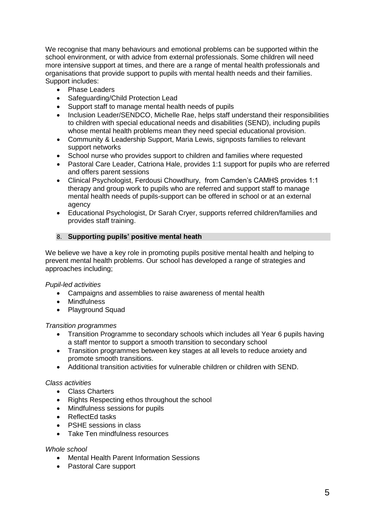We recognise that many behaviours and emotional problems can be supported within the school environment, or with advice from external professionals. Some children will need more intensive support at times, and there are a range of mental health professionals and organisations that provide support to pupils with mental health needs and their families. Support includes:

- Phase Leaders
- Safeguarding/Child Protection Lead
- Support staff to manage mental health needs of pupils
- Inclusion Leader/SENDCO, Michelle Rae, helps staff understand their responsibilities to children with special educational needs and disabilities (SEND), including pupils whose mental health problems mean they need special educational provision.
- Community & Leadership Support, Maria Lewis, signposts families to relevant support networks
- School nurse who provides support to children and families where requested
- Pastoral Care Leader, Catriona Hale, provides 1:1 support for pupils who are referred and offers parent sessions
- Clinical Psychologist, Ferdousi Chowdhury, from Camden's CAMHS provides 1:1 therapy and group work to pupils who are referred and support staff to manage mental health needs of pupils-support can be offered in school or at an external agency
- Educational Psychologist, Dr Sarah Cryer, supports referred children/families and provides staff training.

#### 8. **Supporting pupils' positive mental heath**

We believe we have a key role in promoting pupils positive mental health and helping to prevent mental health problems. Our school has developed a range of strategies and approaches including;

#### *Pupil-led activities*

- Campaigns and assemblies to raise awareness of mental health
- Mindfulness
- Playground Squad

#### *Transition programmes*

- Transition Programme to secondary schools which includes all Year 6 pupils having a staff mentor to support a smooth transition to secondary school
- Transition programmes between key stages at all levels to reduce anxiety and promote smooth transitions.
- Additional transition activities for vulnerable children or children with SEND.

#### *Class activities*

- Class Charters
- Rights Respecting ethos throughout the school
- Mindfulness sessions for pupils
- ReflectEd tasks
- PSHE sessions in class
- **•** Take Ten mindfulness resources

#### *Whole school*

- Mental Health Parent Information Sessions
- Pastoral Care support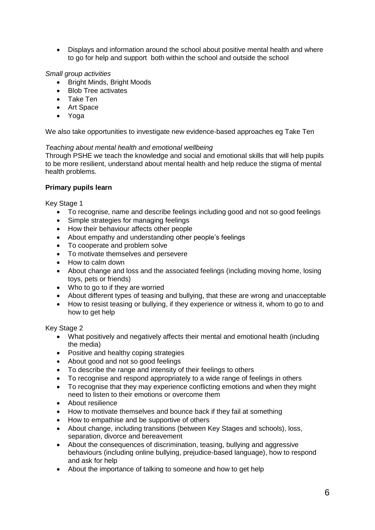Displays and information around the school about positive mental health and where to go for help and support both within the school and outside the school

# *Small group activities*

- Bright Minds, Bright Moods
- Blob Tree activates
- Take Ten
- Art Space
- Yoga

We also take opportunities to investigate new evidence-based approaches eg Take Ten

#### *Teaching about mental health and emotional wellbeing*

Through PSHE we teach the knowledge and social and emotional skills that will help pupils to be more resilient, understand about mental health and help reduce the stigma of mental health problems.

#### **Primary pupils learn**

Key Stage 1

- To recognise, name and describe feelings including good and not so good feelings
- Simple strategies for managing feelings
- How their behaviour affects other people
- About empathy and understanding other people's feelings
- To cooperate and problem solve
- To motivate themselves and persevere
- How to calm down
- About change and loss and the associated feelings (including moving home, losing toys, pets or friends)
- Who to go to if they are worried
- About different types of teasing and bullying, that these are wrong and unacceptable
- How to resist teasing or bullying, if they experience or witness it, whom to go to and how to get help

Key Stage 2

- What positively and negatively affects their mental and emotional health (including the media)
- Positive and healthy coping strategies
- About good and not so good feelings
- To describe the range and intensity of their feelings to others
- To recognise and respond appropriately to a wide range of feelings in others
- To recognise that they may experience conflicting emotions and when they might need to listen to their emotions or overcome them
- About resilience
- How to motivate themselves and bounce back if they fail at something
- How to empathise and be supportive of others
- About change, including transitions (between Key Stages and schools), loss, separation, divorce and bereavement
- About the consequences of discrimination, teasing, bullying and aggressive behaviours (including online bullying, prejudice-based language), how to respond and ask for help
- About the importance of talking to someone and how to get help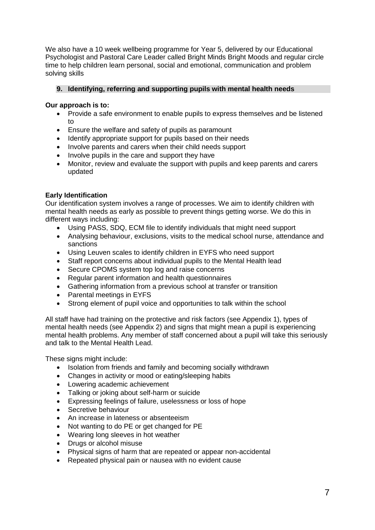We also have a 10 week wellbeing programme for Year 5, delivered by our Educational Psychologist and Pastoral Care Leader called Bright Minds Bright Moods and regular circle time to help children learn personal, social and emotional, communication and problem solving skills

# **9. Identifying, referring and supporting pupils with mental health needs**

#### **Our approach is to:**

- Provide a safe environment to enable pupils to express themselves and be listened to
- Ensure the welfare and safety of pupils as paramount
- Identify appropriate support for pupils based on their needs
- Involve parents and carers when their child needs support
- Involve pupils in the care and support they have
- Monitor, review and evaluate the support with pupils and keep parents and carers updated

# **Early Identification**

Our identification system involves a range of processes. We aim to identify children with mental health needs as early as possible to prevent things getting worse. We do this in different ways including:

- Using PASS, SDQ, ECM file to identify individuals that might need support
- Analysing behaviour, exclusions, visits to the medical school nurse, attendance and sanctions
- Using Leuven scales to identify children in EYFS who need support
- Staff report concerns about individual pupils to the Mental Health lead
- Secure CPOMS system top log and raise concerns
- Regular parent information and health questionnaires
- Gathering information from a previous school at transfer or transition
- Parental meetings in EYFS
- Strong element of pupil voice and opportunities to talk within the school

All staff have had training on the protective and risk factors (see Appendix 1), types of mental health needs (see Appendix 2) and signs that might mean a pupil is experiencing mental health problems. Any member of staff concerned about a pupil will take this seriously and talk to the Mental Health Lead.

These signs might include:

- Isolation from friends and family and becoming socially withdrawn
- Changes in activity or mood or eating/sleeping habits
- Lowering academic achievement
- Talking or joking about self-harm or suicide
- Expressing feelings of failure, uselessness or loss of hope
- Secretive behaviour
- An increase in lateness or absenteeism
- Not wanting to do PE or get changed for PE
- Wearing long sleeves in hot weather
- Drugs or alcohol misuse
- Physical signs of harm that are repeated or appear non-accidental
- Repeated physical pain or nausea with no evident cause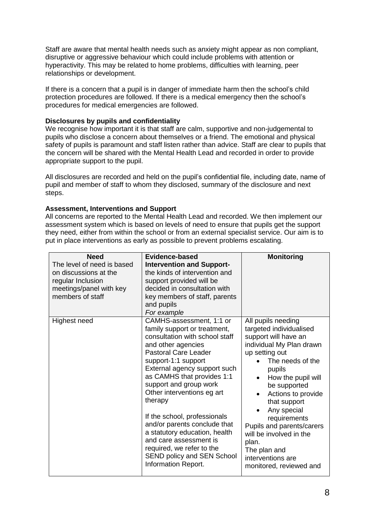Staff are aware that mental health needs such as anxiety might appear as non compliant, disruptive or aggressive behaviour which could include problems with attention or hyperactivity. This may be related to home problems, difficulties with learning, peer relationships or development.

If there is a concern that a pupil is in danger of immediate harm then the school's child protection procedures are followed. If there is a medical emergency then the school's procedures for medical emergencies are followed.

# **Disclosures by pupils and confidentiality**

We recognise how important it is that staff are calm, supportive and non-judgemental to pupils who disclose a concern about themselves or a friend. The emotional and physical safety of pupils is paramount and staff listen rather than advice. Staff are clear to pupils that the concern will be shared with the Mental Health Lead and recorded in order to provide appropriate support to the pupil.

All disclosures are recorded and held on the pupil's confidential file, including date, name of pupil and member of staff to whom they disclosed, summary of the disclosure and next steps.

# **Assessment, Interventions and Support**

All concerns are reported to the Mental Health Lead and recorded. We then implement our assessment system which is based on levels of need to ensure that pupils get the support they need, either from within the school or from an external specialist service. Our aim is to put in place interventions as early as possible to prevent problems escalating.

| <b>Need</b>                                                                                                             | Evidence-based                                                                                                                                                                                                                                                                                                                                                                                                                                                                                                       | <b>Monitoring</b>                                                                                                                                                                                                                                                                                                                                                                                          |
|-------------------------------------------------------------------------------------------------------------------------|----------------------------------------------------------------------------------------------------------------------------------------------------------------------------------------------------------------------------------------------------------------------------------------------------------------------------------------------------------------------------------------------------------------------------------------------------------------------------------------------------------------------|------------------------------------------------------------------------------------------------------------------------------------------------------------------------------------------------------------------------------------------------------------------------------------------------------------------------------------------------------------------------------------------------------------|
| The level of need is based<br>on discussions at the<br>regular Inclusion<br>meetings/panel with key<br>members of staff | <b>Intervention and Support-</b><br>the kinds of intervention and<br>support provided will be<br>decided in consultation with<br>key members of staff, parents<br>and pupils<br>For example                                                                                                                                                                                                                                                                                                                          |                                                                                                                                                                                                                                                                                                                                                                                                            |
| Highest need                                                                                                            | CAMHS-assessment, 1:1 or<br>family support or treatment,<br>consultation with school staff<br>and other agencies<br><b>Pastoral Care Leader</b><br>support-1:1 support<br>External agency support such<br>as CAMHS that provides 1:1<br>support and group work<br>Other interventions eg art<br>therapy<br>If the school, professionals<br>and/or parents conclude that<br>a statutory education, health<br>and care assessment is<br>required, we refer to the<br>SEND policy and SEN School<br>Information Report. | All pupils needing<br>targeted individualised<br>support will have an<br>individual My Plan drawn<br>up setting out<br>The needs of the<br>pupils<br>How the pupil will<br>be supported<br>Actions to provide<br>$\bullet$<br>that support<br>Any special<br>requirements<br>Pupils and parents/carers<br>will be involved in the<br>plan.<br>The plan and<br>interventions are<br>monitored, reviewed and |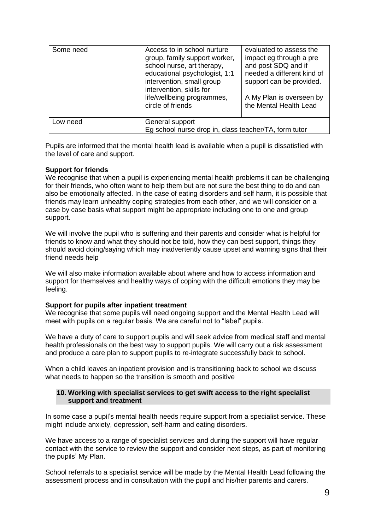| Some need | Access to in school nurture<br>group, family support worker,<br>school nurse, art therapy,<br>educational psychologist, 1:1<br>intervention, small group<br>intervention, skills for<br>life/wellbeing programmes,<br>circle of friends | evaluated to assess the<br>impact eg through a pre<br>and post SDQ and if<br>needed a different kind of<br>support can be provided.<br>A My Plan is overseen by<br>the Mental Health Lead |
|-----------|-----------------------------------------------------------------------------------------------------------------------------------------------------------------------------------------------------------------------------------------|-------------------------------------------------------------------------------------------------------------------------------------------------------------------------------------------|
| Low need  | General support<br>Eg school nurse drop in, class teacher/TA, form tutor                                                                                                                                                                |                                                                                                                                                                                           |

Pupils are informed that the mental health lead is available when a pupil is dissatisfied with the level of care and support.

#### **Support for friends**

We recognise that when a pupil is experiencing mental health problems it can be challenging for their friends, who often want to help them but are not sure the best thing to do and can also be emotionally affected. In the case of eating disorders and self harm, it is possible that friends may learn unhealthy coping strategies from each other, and we will consider on a case by case basis what support might be appropriate including one to one and group support.

We will involve the pupil who is suffering and their parents and consider what is helpful for friends to know and what they should not be told, how they can best support, things they should avoid doing/saying which may inadvertently cause upset and warning signs that their friend needs help

We will also make information available about where and how to access information and support for themselves and healthy ways of coping with the difficult emotions they may be feeling.

#### **Support for pupils after inpatient treatment**

We recognise that some pupils will need ongoing support and the Mental Health Lead will meet with pupils on a regular basis. We are careful not to "label" pupils.

We have a duty of care to support pupils and will seek advice from medical staff and mental health professionals on the best way to support pupils. We will carry out a risk assessment and produce a care plan to support pupils to re-integrate successfully back to school.

When a child leaves an inpatient provision and is transitioning back to school we discuss what needs to happen so the transition is smooth and positive

#### **10. Working with specialist services to get swift access to the right specialist support and treatment**

In some case a pupil's mental health needs require support from a specialist service. These might include anxiety, depression, self-harm and eating disorders.

We have access to a range of specialist services and during the support will have regular contact with the service to review the support and consider next steps, as part of monitoring the pupils' My Plan.

School referrals to a specialist service will be made by the Mental Health Lead following the assessment process and in consultation with the pupil and his/her parents and carers.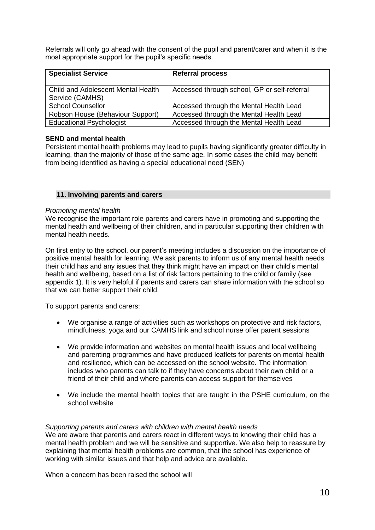Referrals will only go ahead with the consent of the pupil and parent/carer and when it is the most appropriate support for the pupil's specific needs.

| <b>Specialist Service</b>                             | <b>Referral process</b>                      |
|-------------------------------------------------------|----------------------------------------------|
| Child and Adolescent Mental Health<br>Service (CAMHS) | Accessed through school, GP or self-referral |
| <b>School Counsellor</b>                              | Accessed through the Mental Health Lead      |
| Robson House (Behaviour Support)                      | Accessed through the Mental Health Lead      |
| <b>Educational Psychologist</b>                       | Accessed through the Mental Health Lead      |

# **SEND and mental health**

Persistent mental health problems may lead to pupils having significantly greater difficulty in learning, than the majority of those of the same age. In some cases the child may benefit from being identified as having a special educational need (SEN)

#### **11. Involving parents and carers**

#### *Promoting mental health*

We recognise the important role parents and carers have in promoting and supporting the mental health and wellbeing of their children, and in particular supporting their children with mental health needs.

On first entry to the school, our parent's meeting includes a discussion on the importance of positive mental health for learning. We ask parents to inform us of any mental health needs their child has and any issues that they think might have an impact on their child's mental health and wellbeing, based on a list of risk factors pertaining to the child or family (see appendix 1). It is very helpful if parents and carers can share information with the school so that we can better support their child.

To support parents and carers:

- We organise a range of activities such as workshops on protective and risk factors, mindfulness, yoga and our CAMHS link and school nurse offer parent sessions
- We provide information and websites on mental health issues and local wellbeing and parenting programmes and have produced leaflets for parents on mental health and resilience, which can be accessed on the school website. The information includes who parents can talk to if they have concerns about their own child or a friend of their child and where parents can access support for themselves
- We include the mental health topics that are taught in the PSHE curriculum, on the school website

#### *Supporting parents and carers with children with mental health needs*

We are aware that parents and carers react in different ways to knowing their child has a mental health problem and we will be sensitive and supportive. We also help to reassure by explaining that mental health problems are common, that the school has experience of working with similar issues and that help and advice are available.

When a concern has been raised the school will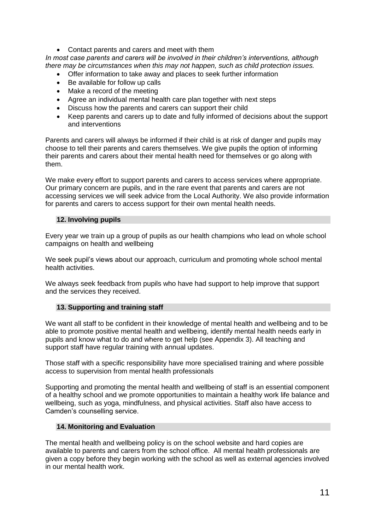Contact parents and carers and meet with them

*In most case parents and carers will be involved in their children's interventions, although there may be circumstances when this may not happen, such as child protection issues.* 

- Offer information to take away and places to seek further information
- Be available for follow up calls
- Make a record of the meeting
- Agree an individual mental health care plan together with next steps
- Discuss how the parents and carers can support their child
- Keep parents and carers up to date and fully informed of decisions about the support and interventions

Parents and carers will always be informed if their child is at risk of danger and pupils may choose to tell their parents and carers themselves. We give pupils the option of informing their parents and carers about their mental health need for themselves or go along with them.

We make every effort to support parents and carers to access services where appropriate. Our primary concern are pupils, and in the rare event that parents and carers are not accessing services we will seek advice from the Local Authority. We also provide information for parents and carers to access support for their own mental health needs.

#### **12. Involving pupils**

Every year we train up a group of pupils as our health champions who lead on whole school campaigns on health and wellbeing

We seek pupil's views about our approach, curriculum and promoting whole school mental health activities.

We always seek feedback from pupils who have had support to help improve that support and the services they received.

#### **13. Supporting and training staff**

We want all staff to be confident in their knowledge of mental health and wellbeing and to be able to promote positive mental health and wellbeing, identify mental health needs early in pupils and know what to do and where to get help (see Appendix 3). All teaching and support staff have regular training with annual updates.

Those staff with a specific responsibility have more specialised training and where possible access to supervision from mental health professionals

Supporting and promoting the mental health and wellbeing of staff is an essential component of a healthy school and we promote opportunities to maintain a healthy work life balance and wellbeing, such as yoga, mindfulness, and physical activities. Staff also have access to Camden's counselling service.

#### **14. Monitoring and Evaluation**

The mental health and wellbeing policy is on the school website and hard copies are available to parents and carers from the school office. All mental health professionals are given a copy before they begin working with the school as well as external agencies involved in our mental health work.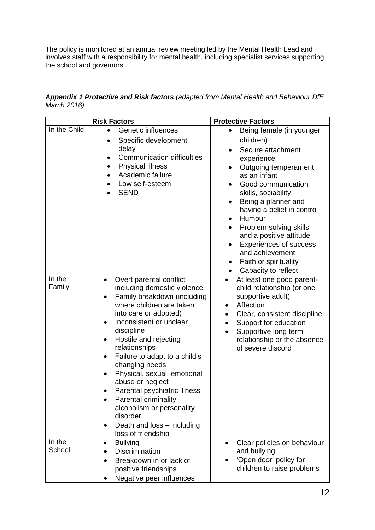The policy is monitored at an annual review meeting led by the Mental Health Lead and involves staff with a responsibility for mental health, including specialist services supporting the school and governors.

*Appendix 1 Protective and Risk factors (adapted from Mental Health and Behaviour DfE March 2016)*

| <b>Risk Factors</b> |                                                                                                                                                                                                                                                                                                                                                                                                                                                                                                                     | <b>Protective Factors</b>                                                                                                                                                                                                                                                                                                                                                                          |
|---------------------|---------------------------------------------------------------------------------------------------------------------------------------------------------------------------------------------------------------------------------------------------------------------------------------------------------------------------------------------------------------------------------------------------------------------------------------------------------------------------------------------------------------------|----------------------------------------------------------------------------------------------------------------------------------------------------------------------------------------------------------------------------------------------------------------------------------------------------------------------------------------------------------------------------------------------------|
| In the Child        | <b>Genetic influences</b><br>Specific development<br>delay<br><b>Communication difficulties</b><br><b>Physical illness</b><br>Academic failure<br>Low self-esteem<br><b>SEND</b>                                                                                                                                                                                                                                                                                                                                    | Being female (in younger<br>children)<br>Secure attachment<br>experience<br>Outgoing temperament<br>as an infant<br>Good communication<br>skills, sociability<br>Being a planner and<br>having a belief in control<br>Humour<br>Problem solving skills<br>$\bullet$<br>and a positive attitude<br><b>Experiences of success</b><br>and achievement<br>Faith or spirituality<br>Capacity to reflect |
| In the<br>Family    | Overt parental conflict<br>$\bullet$<br>including domestic violence<br>Family breakdown (including<br>where children are taken<br>into care or adopted)<br>Inconsistent or unclear<br>discipline<br>Hostile and rejecting<br>relationships<br>Failure to adapt to a child's<br>$\bullet$<br>changing needs<br>Physical, sexual, emotional<br>abuse or neglect<br>Parental psychiatric illness<br>Parental criminality,<br>alcoholism or personality<br>disorder<br>Death and loss - including<br>loss of friendship | At least one good parent-<br>$\bullet$<br>child relationship (or one<br>supportive adult)<br>Affection<br>٠<br>Clear, consistent discipline<br>$\bullet$<br>Support for education<br>Supportive long term<br>relationship or the absence<br>of severe discord                                                                                                                                      |
| In the<br>School    | <b>Bullying</b><br>$\bullet$<br>Discrimination<br>Breakdown in or lack of<br>positive friendships<br>Negative peer influences                                                                                                                                                                                                                                                                                                                                                                                       | Clear policies on behaviour<br>$\bullet$<br>and bullying<br>'Open door' policy for<br>children to raise problems                                                                                                                                                                                                                                                                                   |